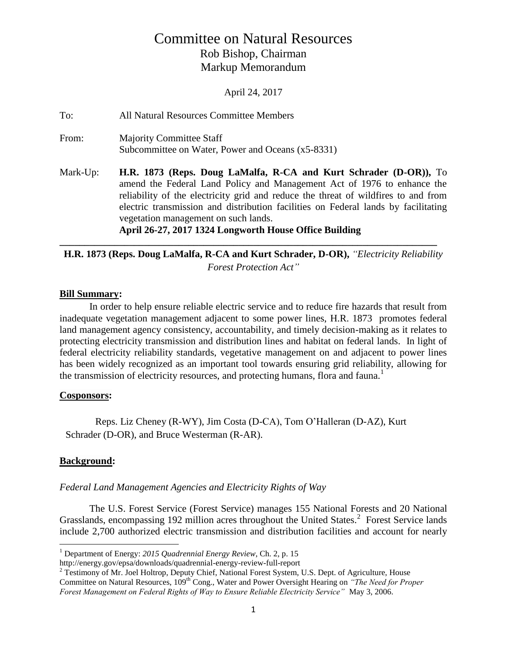# Committee on Natural Resources Rob Bishop, Chairman Markup Memorandum

April 24, 2017

To: All Natural Resources Committee Members From: Majority Committee Staff Subcommittee on Water, Power and Oceans (x5-8331) Mark-Up: **H.R. 1873 (Reps. Doug LaMalfa, R-CA and Kurt Schrader (D-OR)),** To amend the Federal Land Policy and Management Act of 1976 to enhance the reliability of the electricity grid and reduce the threat of wildfires to and from electric transmission and distribution facilities on Federal lands by facilitating vegetation management on such lands. **April 26-27, 2017 1324 Longworth House Office Building**

# **\_\_\_\_\_\_\_\_\_\_\_\_\_\_\_\_\_\_\_\_\_\_\_\_\_\_\_\_\_\_\_\_\_\_\_\_\_\_\_\_\_\_\_\_\_\_\_\_\_\_\_\_\_\_\_\_\_\_\_\_\_\_\_\_\_\_\_\_\_\_\_\_\_\_\_\_ H.R. 1873 (Reps. Doug LaMalfa, R-CA and Kurt Schrader, D-OR),** *"Electricity Reliability Forest Protection Act"*

## **Bill Summary:**

In order to help ensure reliable electric service and to reduce fire hazards that result from inadequate vegetation management adjacent to some power lines, H.R. 1873 promotes federal land management agency consistency, accountability, and timely decision-making as it relates to protecting electricity transmission and distribution lines and habitat on federal lands. In light of federal electricity reliability standards, vegetative management on and adjacent to power lines has been widely recognized as an important tool towards ensuring grid reliability, allowing for the transmission of electricity resources, and protecting humans, flora and fauna.<sup>1</sup>

## **Cosponsors:**

Reps. Liz Cheney (R-WY), Jim Costa (D-CA), Tom O'Halleran (D-AZ), Kurt Schrader (D-OR), and Bruce Westerman (R-AR).

## **Background:**

 $\overline{a}$ 

## *Federal Land Management Agencies and Electricity Rights of Way*

The U.S. Forest Service (Forest Service) manages 155 National Forests and 20 National Grasslands, encompassing 192 million acres throughout the United States.<sup>2</sup> Forest Service lands include 2,700 authorized electric transmission and distribution facilities and account for nearly

<sup>1</sup> Department of Energy: *2015 Quadrennial Energy Review*, Ch. 2, p. 15

http://energy.gov/epsa/downloads/quadrennial-energy-review-full-report

<sup>2</sup> Testimony of Mr. Joel Holtrop, Deputy Chief, National Forest System, U.S. Dept. of Agriculture, House Committee on Natural Resources, 109<sup>th</sup> Cong., Water and Power Oversight Hearing on *"The Need for Proper Forest Management on Federal Rights of Way to Ensure Reliable Electricity Service"* May 3, 2006.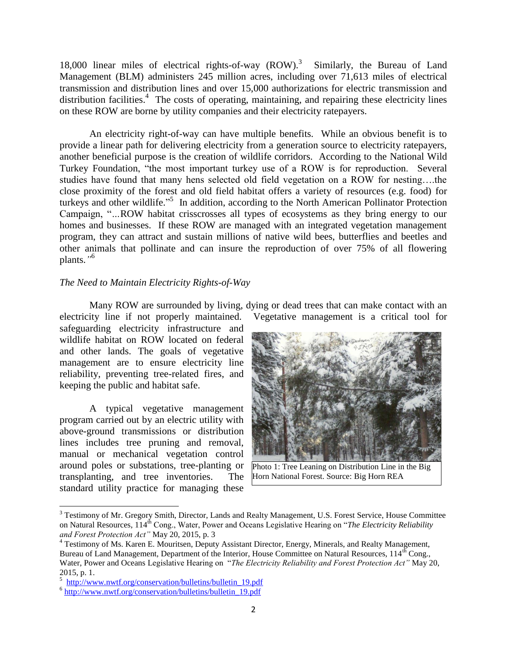18,000 linear miles of electrical rights-of-way (ROW). 3 Similarly, the Bureau of Land Management (BLM) administers 245 million acres, including over 71,613 miles of electrical transmission and distribution lines and over 15,000 authorizations for electric transmission and distribution facilities.<sup>4</sup> The costs of operating, maintaining, and repairing these electricity lines on these ROW are borne by utility companies and their electricity ratepayers.

An electricity right-of-way can have multiple benefits. While an obvious benefit is to provide a linear path for delivering electricity from a generation source to electricity ratepayers, another beneficial purpose is the creation of wildlife corridors. According to the National Wild Turkey Foundation, "the most important turkey use of a ROW is for reproduction. Several studies have found that many hens selected old field vegetation on a ROW for nesting….the close proximity of the forest and old field habitat offers a variety of resources (e.g. food) for turkeys and other wildlife." 5 In addition, according to the North American Pollinator Protection Campaign, "*…*ROW habitat crisscrosses all types of ecosystems as they bring energy to our homes and businesses. If these ROW are managed with an integrated vegetation management program, they can attract and sustain millions of native wild bees, butterflies and beetles and other animals that pollinate and can insure the reproduction of over 75% of all flowering plants.*"* 6

# *The Need to Maintain Electricity Rights-of-Way*

Many ROW are surrounded by living, dying or dead trees that can make contact with an

safeguarding electricity infrastructure and wildlife habitat on ROW located on federal and other lands. The goals of vegetative management are to ensure electricity line reliability, preventing tree-related fires, and keeping the public and habitat safe.

A typical vegetative management program carried out by an electric utility with above-ground transmissions or distribution lines includes tree pruning and removal, manual or mechanical vegetation control around poles or substations, tree-planting or transplanting, and tree inventories. The standard utility practice for managing these

 $\overline{\phantom{a}}$ 

electricity line if not properly maintained. Vegetative management is a critical tool for



Photo 1: Tree Leaning on Distribution Line in the Big Horn National Forest. Source: Big Horn REA

<sup>&</sup>lt;sup>3</sup> Testimony of Mr. Gregory Smith, Director, Lands and Realty Management, U.S. Forest Service, House Committee on Natural Resources, 114th Cong., Water, Power and Oceans Legislative Hearing on "*The Electricity Reliability and Forest Protection Act"* May 20, 2015, p. 3

<sup>&</sup>lt;sup>4</sup> Testimony of Ms. Karen E. Mouritsen, Deputy Assistant Director, Energy, Minerals, and Realty Management, Bureau of Land Management, Department of the Interior, House Committee on Natural Resources, 114<sup>th</sup> Cong., Water, Power and Oceans Legislative Hearing on "*The Electricity Reliability and Forest Protection Act"* May 20, 2015, p. 1.

<sup>&</sup>lt;sup>5</sup> [http://www.nwtf.org/conservation/bulletins/bulletin\\_19.pdf](http://www.nwtf.org/conservation/bulletins/bulletin_19.pdf)

<sup>&</sup>lt;sup>6</sup> [http://www.nwtf.org/conservation/bulletins/bulletin\\_19.pdf](http://www.nwtf.org/conservation/bulletins/bulletin_19.pdf)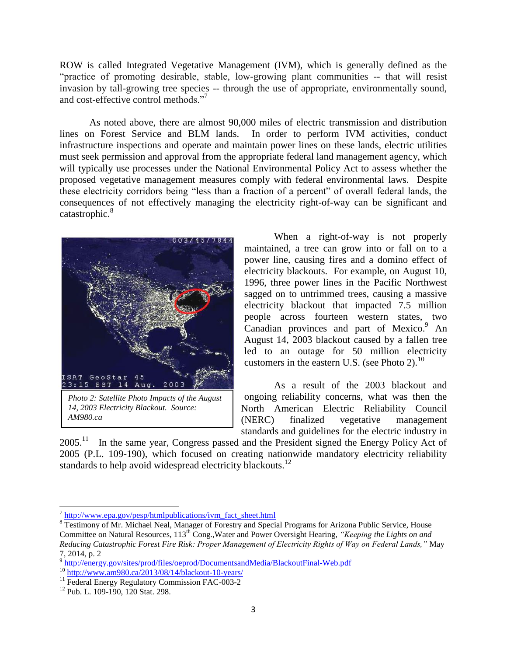ROW is called Integrated Vegetative Management (IVM), which is generally defined as the "practice of promoting desirable, stable, low-growing plant communities -- that will resist invasion by tall-growing tree species -- through the use of appropriate, environmentally sound, and cost-effective control methods."<sup>7</sup>

As noted above, there are almost 90,000 miles of electric transmission and distribution lines on Forest Service and BLM lands. In order to perform IVM activities, conduct infrastructure inspections and operate and maintain power lines on these lands, electric utilities must seek permission and approval from the appropriate federal land management agency, which will typically use processes under the National Environmental Policy Act to assess whether the proposed vegetative management measures comply with federal environmental laws. Despite these electricity corridors being "less than a fraction of a percent" of overall federal lands, the consequences of not effectively managing the electricity right-of-way can be significant and catastrophic.<sup>8</sup>



*Photo 2: Satellite Photo Impacts of the August 14, 2003 Electricity Blackout. Source: AM980.ca*

When a right-of-way is not properly maintained, a tree can grow into or fall on to a power line, causing fires and a domino effect of electricity blackouts. For example, on August 10, 1996, three power lines in the Pacific Northwest sagged on to untrimmed trees, causing a massive electricity blackout that impacted 7.5 million people across fourteen western states, two Canadian provinces and part of Mexico.<sup>9</sup> An August 14, 2003 blackout caused by a fallen tree led to an outage for 50 million electricity customers in the eastern U.S. (see Photo 2). $^{10}$ 

As a result of the 2003 blackout and ongoing reliability concerns, what was then the North American Electric Reliability Council (NERC) finalized vegetative management standards and guidelines for the electric industry in

 $2005.<sup>11</sup>$  In the same year, Congress passed and the President signed the Energy Policy Act of 2005 (P.L. 109-190), which focused on creating nationwide mandatory electricity reliability standards to help avoid widespread electricity blackouts.<sup>12</sup>

 7 [http://www.epa.gov/pesp/htmlpublications/ivm\\_fact\\_sheet.html](http://www.epa.gov/pesp/htmlpublications/ivm_fact_sheet.html)

<sup>&</sup>lt;sup>8</sup> Testimony of Mr. Michael Neal, Manager of Forestry and Special Programs for Arizona Public Service, House Committee on Natural Resources, 113<sup>th</sup> Cong., Water and Power Oversight Hearing, "Keeping the Lights on and *Reducing Catastrophic Forest Fire Risk: Proper Management of Electricity Rights of Way on Federal Lands,"* May 7, 2014*,* p. 2

<sup>&</sup>lt;sup>9</sup> <http://energy.gov/sites/prod/files/oeprod/DocumentsandMedia/BlackoutFinal-Web.pdf>  $10$  http://www.am980.ca/2013/08/14/blackout-10-years/

<sup>&</sup>lt;sup>11</sup> Federal Energy Regulatory Commission FAC-003-2

<sup>&</sup>lt;sup>12</sup> Pub. L. 109-190, 120 Stat. 298.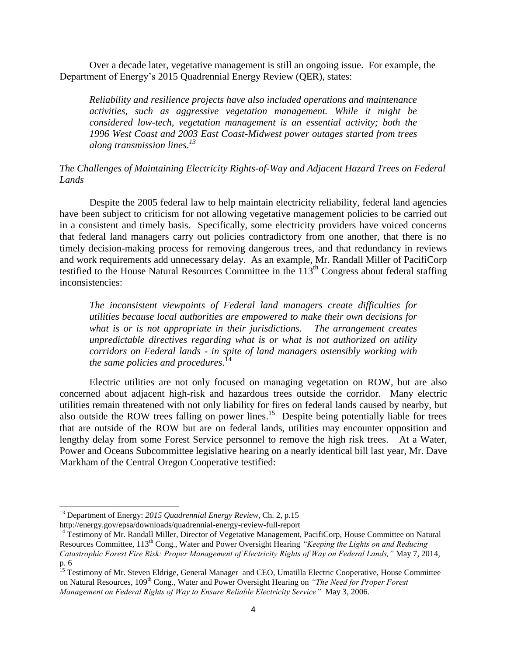Over a decade later, vegetative management is still an ongoing issue. For example, the Department of Energy's 2015 Quadrennial Energy Review (QER), states:

*Reliability and resilience projects have also included operations and maintenance activities, such as aggressive vegetation management. While it might be considered low-tech, vegetation management is an essential activity; both the 1996 West Coast and 2003 East Coast-Midwest power outages started from trees along transmission lines.<sup>13</sup>* 

### *The Challenges of Maintaining Electricity Rights-of-Way and Adjacent Hazard Trees on Federal Lands*

Despite the 2005 federal law to help maintain electricity reliability, federal land agencies have been subject to criticism for not allowing vegetative management policies to be carried out in a consistent and timely basis. Specifically, some electricity providers have voiced concerns that federal land managers carry out policies contradictory from one another, that there is no timely decision-making process for removing dangerous trees, and that redundancy in reviews and work requirements add unnecessary delay. As an example, Mr. Randall Miller of PacifiCorp testified to the House Natural Resources Committee in the 113<sup>th</sup> Congress about federal staffing inconsistencies:

*The inconsistent viewpoints of Federal land managers create difficulties for utilities because local authorities are empowered to make their own decisions for what is or is not appropriate in their jurisdictions. The arrangement creates unpredictable directives regarding what is or what is not authorized on utility corridors on Federal lands - in spite of land managers ostensibly working with the same policies and procedures*. 14

Electric utilities are not only focused on managing vegetation on ROW, but are also concerned about adjacent high-risk and hazardous trees outside the corridor. Many electric utilities remain threatened with not only liability for fires on federal lands caused by nearby, but also outside the ROW trees falling on power lines.<sup>15</sup> Despite being potentially liable for trees that are outside of the ROW but are on federal lands, utilities may encounter opposition and lengthy delay from some Forest Service personnel to remove the high risk trees. At a Water, Power and Oceans Subcommittee legislative hearing on a nearly identical bill last year, Mr. Dave Markham of the Central Oregon Cooperative testified:

 $\overline{\phantom{a}}$ 

<sup>13</sup> Department of Energy: *2015 Quadrennial Energy Review*, Ch. 2, p.15

http://energy.gov/epsa/downloads/quadrennial-energy-review-full-report

<sup>&</sup>lt;sup>14</sup> Testimony of Mr. Randall Miller, Director of Vegetative Management, PacifiCorp, House Committee on Natural Resources Committee, 113th Cong., Water and Power Oversight Hearing *"Keeping the Lights on and Reducing Catastrophic Forest Fire Risk: Proper Management of Electricity Rights of Way on Federal Lands,"* May 7, 2014*,*  p. 6

<sup>&</sup>lt;sup>15</sup> Testimony of Mr. Steven Eldrige, General Manager and CEO, Umatilla Electric Cooperative, House Committee on Natural Resources, 109th Cong., Water and Power Oversight Hearing on *"The Need for Proper Forest Management on Federal Rights of Way to Ensure Reliable Electricity Service"* May 3, 2006.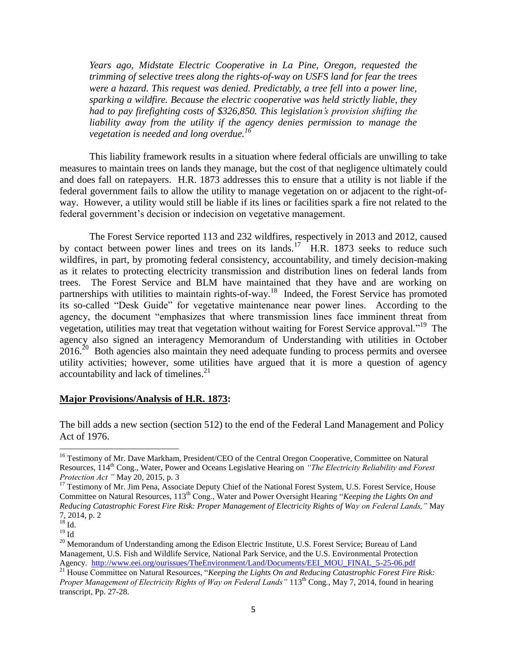*Years ago, Midstate Electric Cooperative in La Pine, Oregon, requested the trimming of selective trees along the rights-of-way on USFS land for fear the trees were a hazard. This request was denied. Predictably, a tree fell into a power line, sparking a wildfire. Because the electric cooperative was held strictly liable, they had to pay firefighting costs of \$326,850. This legislation's provision shifting the liability away from the utility if the agency denies permission to manage the vegetation is needed and long overdue.<sup>16</sup>*

This liability framework results in a situation where federal officials are unwilling to take measures to maintain trees on lands they manage, but the cost of that negligence ultimately could and does fall on ratepayers. H.R. 1873 addresses this to ensure that a utility is not liable if the federal government fails to allow the utility to manage vegetation on or adjacent to the right-ofway. However, a utility would still be liable if its lines or facilities spark a fire not related to the federal government's decision or indecision on vegetative management.

The Forest Service reported 113 and 232 wildfires, respectively in 2013 and 2012, caused by contact between power lines and trees on its lands.<sup>17</sup> H.R. 1873 seeks to reduce such wildfires, in part, by promoting federal consistency, accountability, and timely decision-making as it relates to protecting electricity transmission and distribution lines on federal lands from trees. The Forest Service and BLM have maintained that they have and are working on partnerships with utilities to maintain rights-of-way.<sup>18</sup> Indeed, the Forest Service has promoted its so-called "Desk Guide" for vegetative maintenance near power lines. According to the agency, the document "emphasizes that where transmission lines face imminent threat from vegetation, utilities may treat that vegetation without waiting for Forest Service approval."<sup>19</sup> The agency also signed an interagency Memorandum of Understanding with utilities in October  $2016<sup>20</sup>$  Both agencies also maintain they need adequate funding to process permits and oversee utility activities; however, some utilities have argued that it is more a question of agency accountability and lack of timelines. $^{21}$ 

#### **Major Provisions/Analysis of H.R. 1873:**

The bill adds a new section (section 512) to the end of the Federal Land Management and Policy Act of 1976.

l

<sup>16</sup> Testimony of Mr. Dave Markham, President/CEO of the Central Oregon Cooperative*,* Committee on Natural Resources, 114th Cong., Water, Power and Oceans Legislative Hearing on *"The Electricity Reliability and Forest Protection Act "* May 20, 2015*,* p. 3

<sup>&</sup>lt;sup>17</sup> Testimony of Mr. Jim Pena, Associate Deputy Chief of the National Forest System, U.S. Forest Service, House Committee on Natural Resources, 113th Cong., Water and Power Oversight Hearing "*Keeping the Lights On and Reducing Catastrophic Forest Fire Risk: Proper Management of Electricity Rights of Way on Federal Lands,"* May 7, 2014, p. 2

 $^{18}$  Id.  $^{19}$  Id

<sup>&</sup>lt;sup>20</sup> Memorandum of Understanding among the Edison Electric Institute, U.S. Forest Service; Bureau of Land Management, U.S. Fish and Wildlife Service, National Park Service, and the U.S. Environmental Protection Agency. [http://www.eei.org/ourissues/TheEnvironment/Land/Documents/EEI\\_MOU\\_FINAL\\_5-25-06.pdf](http://www.eei.org/ourissues/TheEnvironment/Land/Documents/EEI_MOU_FINAL_5-25-06.pdf)

<sup>21</sup> House Committee on Natural Resources, "*Keeping the Lights On and Reducing Catastrophic Forest Fire Risk: Proper Management of Electricity Rights of Way on Federal Lands"* 113<sup>th</sup> Cong<sub>r.</sub>, May 7, 2014, found in hearing transcript, Pp. 27-28.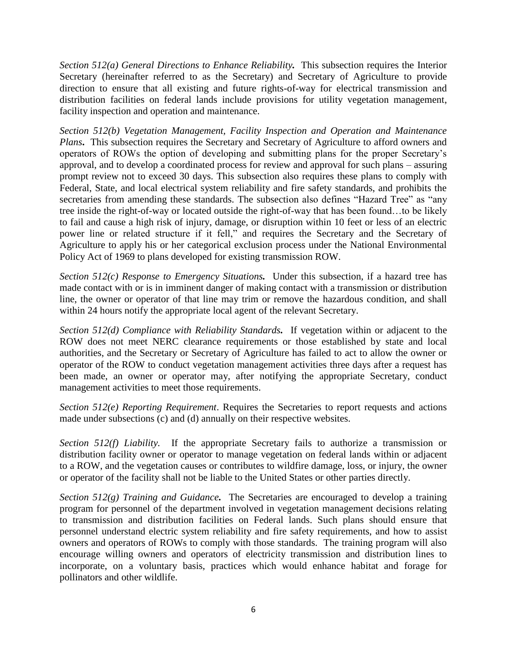*Section 512(a) General Directions to Enhance Reliability.* This subsection requires the Interior Secretary (hereinafter referred to as the Secretary) and Secretary of Agriculture to provide direction to ensure that all existing and future rights-of-way for electrical transmission and distribution facilities on federal lands include provisions for utility vegetation management, facility inspection and operation and maintenance.

*Section 512(b) Vegetation Management, Facility Inspection and Operation and Maintenance Plans***.** This subsection requires the Secretary and Secretary of Agriculture to afford owners and operators of ROWs the option of developing and submitting plans for the proper Secretary's approval, and to develop a coordinated process for review and approval for such plans – assuring prompt review not to exceed 30 days. This subsection also requires these plans to comply with Federal, State, and local electrical system reliability and fire safety standards, and prohibits the secretaries from amending these standards. The subsection also defines "Hazard Tree" as "any tree inside the right-of-way or located outside the right-of-way that has been found…to be likely to fail and cause a high risk of injury, damage, or disruption within 10 feet or less of an electric power line or related structure if it fell," and requires the Secretary and the Secretary of Agriculture to apply his or her categorical exclusion process under the National Environmental Policy Act of 1969 to plans developed for existing transmission ROW.

*Section 512(c) Response to Emergency Situations.* Under this subsection, if a hazard tree has made contact with or is in imminent danger of making contact with a transmission or distribution line, the owner or operator of that line may trim or remove the hazardous condition, and shall within 24 hours notify the appropriate local agent of the relevant Secretary.

*Section 512(d) Compliance with Reliability Standards.* If vegetation within or adjacent to the ROW does not meet NERC clearance requirements or those established by state and local authorities, and the Secretary or Secretary of Agriculture has failed to act to allow the owner or operator of the ROW to conduct vegetation management activities three days after a request has been made, an owner or operator may, after notifying the appropriate Secretary, conduct management activities to meet those requirements.

*Section 512(e) Reporting Requirement*. Requires the Secretaries to report requests and actions made under subsections (c) and (d) annually on their respective websites.

*Section 512(f) Liability.* If the appropriate Secretary fails to authorize a transmission or distribution facility owner or operator to manage vegetation on federal lands within or adjacent to a ROW, and the vegetation causes or contributes to wildfire damage, loss, or injury, the owner or operator of the facility shall not be liable to the United States or other parties directly.

*Section 512(g) Training and Guidance.* The Secretaries are encouraged to develop a training program for personnel of the department involved in vegetation management decisions relating to transmission and distribution facilities on Federal lands. Such plans should ensure that personnel understand electric system reliability and fire safety requirements, and how to assist owners and operators of ROWs to comply with those standards. The training program will also encourage willing owners and operators of electricity transmission and distribution lines to incorporate, on a voluntary basis, practices which would enhance habitat and forage for pollinators and other wildlife.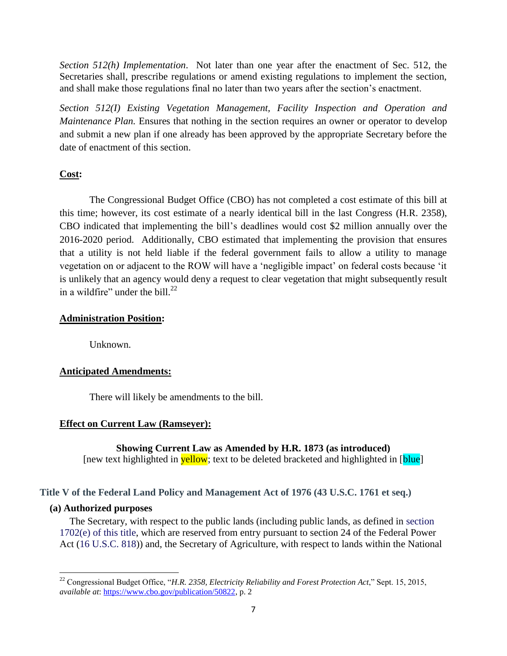*Section 512(h) Implementation*. Not later than one year after the enactment of Sec. 512, the Secretaries shall, prescribe regulations or amend existing regulations to implement the section, and shall make those regulations final no later than two years after the section's enactment.

*Section 512(I) Existing Vegetation Management, Facility Inspection and Operation and Maintenance Plan.* Ensures that nothing in the section requires an owner or operator to develop and submit a new plan if one already has been approved by the appropriate Secretary before the date of enactment of this section.

# **Cost:**

The Congressional Budget Office (CBO) has not completed a cost estimate of this bill at this time; however, its cost estimate of a nearly identical bill in the last Congress (H.R. 2358), CBO indicated that implementing the bill's deadlines would cost \$2 million annually over the 2016-2020 period. Additionally, CBO estimated that implementing the provision that ensures that a utility is not held liable if the federal government fails to allow a utility to manage vegetation on or adjacent to the ROW will have a 'negligible impact' on federal costs because 'it is unlikely that an agency would deny a request to clear vegetation that might subsequently result in a wildfire" under the bill. $^{22}$ 

# **Administration Position:**

Unknown.

# **Anticipated Amendments:**

There will likely be amendments to the bill.

# **Effect on Current Law (Ramseyer):**

**Showing Current Law as Amended by H.R. 1873 (as introduced)** [new text highlighted in **yellow**; text to be deleted bracketed and highlighted in [**blue**]

## **Title V of the Federal Land Policy and Management Act of 1976 (43 U.S.C. 1761 et seq.)**

## **(a) Authorized purposes**

The Secretary, with respect to the public lands (including public lands, as defined in section 1702(e) of this title, which are reserved from entry pursuant to section 24 of the Federal Power Act (16 U.S.C. 818)) and, the Secretary of Agriculture, with respect to lands within the National

 $\overline{\phantom{a}}$ <sup>22</sup> Congressional Budget Office, "*H.R. 2358, Electricity Reliability and Forest Protection Act*," Sept. 15, 2015, *available at*: [https://www.cbo.gov/publication/50822,](https://www.cbo.gov/publication/50822) p. 2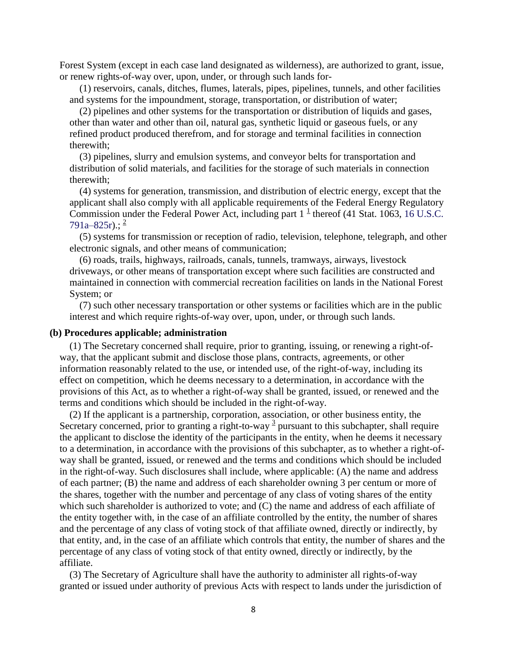Forest System (except in each case land designated as wilderness), are authorized to grant, issue, or renew rights-of-way over, upon, under, or through such lands for-

(1) reservoirs, canals, ditches, flumes, laterals, pipes, pipelines, tunnels, and other facilities and systems for the impoundment, storage, transportation, or distribution of water;

(2) pipelines and other systems for the transportation or distribution of liquids and gases, other than water and other than oil, natural gas, synthetic liquid or gaseous fuels, or any refined product produced therefrom, and for storage and terminal facilities in connection therewith;

(3) pipelines, slurry and emulsion systems, and conveyor belts for transportation and distribution of solid materials, and facilities for the storage of such materials in connection therewith;

(4) systems for generation, transmission, and distribution of electric energy, except that the applicant shall also comply with all applicable requirements of the Federal Energy Regulatory Commission under the Federal Power Act, including part  $1^{\frac{1}{2}}$  $1^{\frac{1}{2}}$  thereof (41 Stat. 1063, 16 U.S.C.  $791a-825r$  $791a-825r$  $791a-825r$ .:  $^{2}$ 

(5) systems for transmission or reception of radio, television, telephone, telegraph, and other electronic signals, and other means of communication;

(6) roads, trails, highways, railroads, canals, tunnels, tramways, airways, livestock driveways, or other means of transportation except where such facilities are constructed and maintained in connection with commercial recreation facilities on lands in the National Forest System; or

(7) such other necessary transportation or other systems or facilities which are in the public interest and which require rights-of-way over, upon, under, or through such lands.

#### **(b) Procedures applicable; administration**

(1) The Secretary concerned shall require, prior to granting, issuing, or renewing a right-ofway, that the applicant submit and disclose those plans, contracts, agreements, or other information reasonably related to the use, or intended use, of the right-of-way, including its effect on competition, which he deems necessary to a determination, in accordance with the provisions of this Act, as to whether a right-of-way shall be granted, issued, or renewed and the terms and conditions which should be included in the right-of-way.

(2) If the applicant is a partnership, corporation, association, or other business entity, the Secretary concerned, prior to granting a right-to-way  $\frac{3}{2}$  $\frac{3}{2}$  $\frac{3}{2}$  pursuant to this subchapter, shall require the applicant to disclose the identity of the participants in the entity, when he deems it necessary to a determination, in accordance with the provisions of this subchapter, as to whether a right-ofway shall be granted, issued, or renewed and the terms and conditions which should be included in the right-of-way. Such disclosures shall include, where applicable: (A) the name and address of each partner; (B) the name and address of each shareholder owning 3 per centum or more of the shares, together with the number and percentage of any class of voting shares of the entity which such shareholder is authorized to vote; and (C) the name and address of each affiliate of the entity together with, in the case of an affiliate controlled by the entity, the number of shares and the percentage of any class of voting stock of that affiliate owned, directly or indirectly, by that entity, and, in the case of an affiliate which controls that entity, the number of shares and the percentage of any class of voting stock of that entity owned, directly or indirectly, by the affiliate.

(3) The Secretary of Agriculture shall have the authority to administer all rights-of-way granted or issued under authority of previous Acts with respect to lands under the jurisdiction of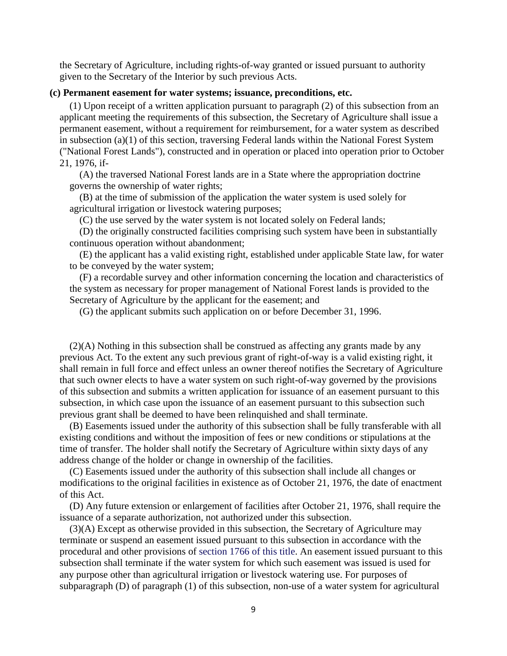the Secretary of Agriculture, including rights-of-way granted or issued pursuant to authority given to the Secretary of the Interior by such previous Acts.

#### **(c) Permanent easement for water systems; issuance, preconditions, etc.**

(1) Upon receipt of a written application pursuant to paragraph (2) of this subsection from an applicant meeting the requirements of this subsection, the Secretary of Agriculture shall issue a permanent easement, without a requirement for reimbursement, for a water system as described in subsection (a)(1) of this section, traversing Federal lands within the National Forest System ("National Forest Lands"), constructed and in operation or placed into operation prior to October 21, 1976, if-

(A) the traversed National Forest lands are in a State where the appropriation doctrine governs the ownership of water rights;

(B) at the time of submission of the application the water system is used solely for agricultural irrigation or livestock watering purposes;

(C) the use served by the water system is not located solely on Federal lands;

(D) the originally constructed facilities comprising such system have been in substantially continuous operation without abandonment;

(E) the applicant has a valid existing right, established under applicable State law, for water to be conveyed by the water system;

(F) a recordable survey and other information concerning the location and characteristics of the system as necessary for proper management of National Forest lands is provided to the Secretary of Agriculture by the applicant for the easement; and

(G) the applicant submits such application on or before December 31, 1996.

(2)(A) Nothing in this subsection shall be construed as affecting any grants made by any previous Act. To the extent any such previous grant of right-of-way is a valid existing right, it shall remain in full force and effect unless an owner thereof notifies the Secretary of Agriculture that such owner elects to have a water system on such right-of-way governed by the provisions of this subsection and submits a written application for issuance of an easement pursuant to this subsection, in which case upon the issuance of an easement pursuant to this subsection such previous grant shall be deemed to have been relinquished and shall terminate.

(B) Easements issued under the authority of this subsection shall be fully transferable with all existing conditions and without the imposition of fees or new conditions or stipulations at the time of transfer. The holder shall notify the Secretary of Agriculture within sixty days of any address change of the holder or change in ownership of the facilities.

(C) Easements issued under the authority of this subsection shall include all changes or modifications to the original facilities in existence as of October 21, 1976, the date of enactment of this Act.

(D) Any future extension or enlargement of facilities after October 21, 1976, shall require the issuance of a separate authorization, not authorized under this subsection.

(3)(A) Except as otherwise provided in this subsection, the Secretary of Agriculture may terminate or suspend an easement issued pursuant to this subsection in accordance with the procedural and other provisions of section 1766 of this title. An easement issued pursuant to this subsection shall terminate if the water system for which such easement was issued is used for any purpose other than agricultural irrigation or livestock watering use. For purposes of subparagraph (D) of paragraph (1) of this subsection, non-use of a water system for agricultural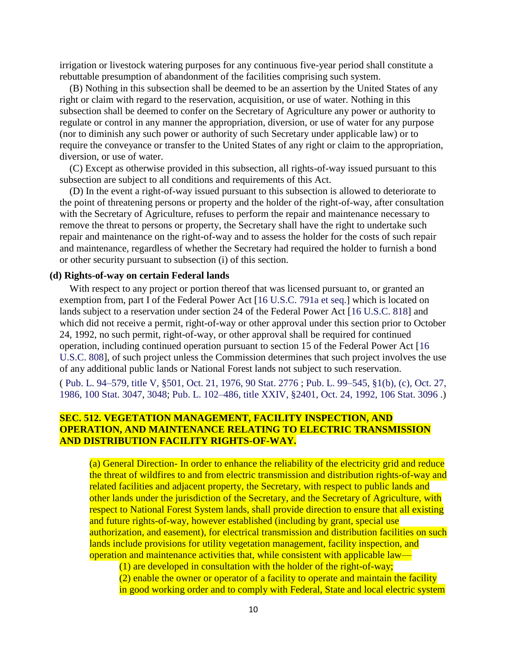irrigation or livestock watering purposes for any continuous five-year period shall constitute a rebuttable presumption of abandonment of the facilities comprising such system.

(B) Nothing in this subsection shall be deemed to be an assertion by the United States of any right or claim with regard to the reservation, acquisition, or use of water. Nothing in this subsection shall be deemed to confer on the Secretary of Agriculture any power or authority to regulate or control in any manner the appropriation, diversion, or use of water for any purpose (nor to diminish any such power or authority of such Secretary under applicable law) or to require the conveyance or transfer to the United States of any right or claim to the appropriation, diversion, or use of water.

(C) Except as otherwise provided in this subsection, all rights-of-way issued pursuant to this subsection are subject to all conditions and requirements of this Act.

(D) In the event a right-of-way issued pursuant to this subsection is allowed to deteriorate to the point of threatening persons or property and the holder of the right-of-way, after consultation with the Secretary of Agriculture, refuses to perform the repair and maintenance necessary to remove the threat to persons or property, the Secretary shall have the right to undertake such repair and maintenance on the right-of-way and to assess the holder for the costs of such repair and maintenance, regardless of whether the Secretary had required the holder to furnish a bond or other security pursuant to subsection (i) of this section.

#### **(d) Rights-of-way on certain Federal lands**

With respect to any project or portion thereof that was licensed pursuant to, or granted an exemption from, part I of the Federal Power Act [16 U.S.C. 791a et seq.] which is located on lands subject to a reservation under section 24 of the Federal Power Act [16 U.S.C. 818] and which did not receive a permit, right-of-way or other approval under this section prior to October 24, 1992, no such permit, right-of-way, or other approval shall be required for continued operation, including continued operation pursuant to section 15 of the Federal Power Act [16 U.S.C. 808], of such project unless the Commission determines that such project involves the use of any additional public lands or National Forest lands not subject to such reservation.

( Pub. L. 94–579, [title V, §501, Oct. 21, 1976,](http://uscode.house.gov/statviewer.htm?volume=90&page=2776) 90 Stat. 2776 ; Pub. L. 99–545, [§1\(b\), \(c\), Oct. 27,](http://uscode.house.gov/statviewer.htm?volume=100&page=3047)  1986, [100 Stat. 3047,](http://uscode.house.gov/statviewer.htm?volume=100&page=3047) [3048;](http://uscode.house.gov/statviewer.htm?volume=100&page=3048) Pub. L. 102–486, [title XXIV, §2401, Oct. 24, 1992,](http://uscode.house.gov/statviewer.htm?volume=106&page=3096) 106 Stat. 3096 .)

# **SEC. 512. VEGETATION MANAGEMENT, FACILITY INSPECTION, AND OPERATION, AND MAINTENANCE RELATING TO ELECTRIC TRANSMISSION AND DISTRIBUTION FACILITY RIGHTS-OF-WAY.**

(a) General Direction- In order to enhance the reliability of the electricity grid and reduce the threat of wildfires to and from electric transmission and distribution rights-of-way and related facilities and adjacent property, the Secretary, with respect to public lands and other lands under the jurisdiction of the Secretary, and the Secretary of Agriculture, with respect to National Forest System lands, shall provide direction to ensure that all existing and future rights-of-way, however established (including by grant, special use authorization, and easement), for electrical transmission and distribution facilities on such lands include provisions for utility vegetation management, facility inspection, and operation and maintenance activities that, while consistent with applicable law—

(1) are developed in consultation with the holder of the right-of-way;

(2) enable the owner or operator of a facility to operate and maintain the facility in good working order and to comply with Federal, State and local electric system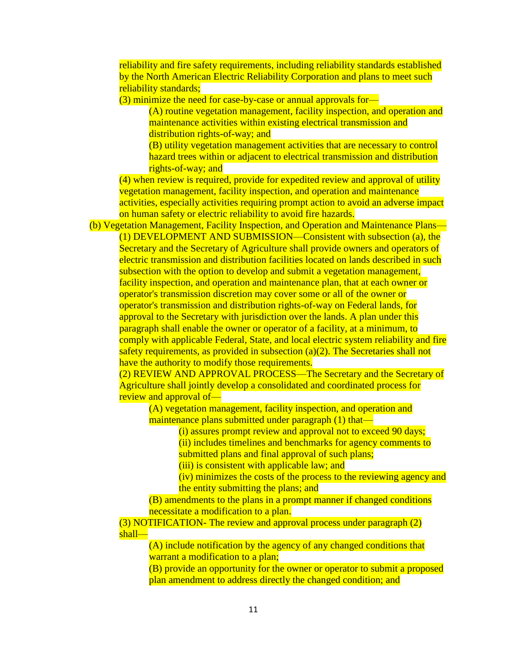reliability and fire safety requirements, including reliability standards established by the North American Electric Reliability Corporation and plans to meet such reliability standards;

(3) minimize the need for case-by-case or annual approvals for—

(A) routine vegetation management, facility inspection, and operation and maintenance activities within existing electrical transmission and distribution rights-of-way; and

(B) utility vegetation management activities that are necessary to control hazard trees within or adjacent to electrical transmission and distribution rights-of-way; and

(4) when review is required, provide for expedited review and approval of utility vegetation management, facility inspection, and operation and maintenance activities, especially activities requiring prompt action to avoid an adverse impact on human safety or electric reliability to avoid fire hazards.

(b) Vegetation Management, Facility Inspection, and Operation and Maintenance Plans— (1) DEVELOPMENT AND SUBMISSION—Consistent with subsection (a), the Secretary and the Secretary of Agriculture shall provide owners and operators of electric transmission and distribution facilities located on lands described in such subsection with the option to develop and submit a vegetation management, facility inspection, and operation and maintenance plan, that at each owner or operator's transmission discretion may cover some or all of the owner or operator's transmission and distribution rights-of-way on Federal lands, for approval to the Secretary with jurisdiction over the lands. A plan under this paragraph shall enable the owner or operator of a facility, at a minimum, to comply with applicable Federal, State, and local electric system reliability and fire safety requirements, as provided in subsection (a)(2). The Secretaries shall not have the authority to modify those requirements.

(2) REVIEW AND APPROVAL PROCESS—The Secretary and the Secretary of Agriculture shall jointly develop a consolidated and coordinated process for review and approval of—

(A) vegetation management, facility inspection, and operation and maintenance plans submitted under paragraph (1) that—

(i) assures prompt review and approval not to exceed 90 days;

(ii) includes timelines and benchmarks for agency comments to

submitted plans and final approval of such plans;

(iii) is consistent with applicable law; and

(iv) minimizes the costs of the process to the reviewing agency and the entity submitting the plans; and

(B) amendments to the plans in a prompt manner if changed conditions necessitate a modification to a plan.

(3) NOTIFICATION- The review and approval process under paragraph (2) shall—

(A) include notification by the agency of any changed conditions that warrant a modification to a plan;

(B) provide an opportunity for the owner or operator to submit a proposed plan amendment to address directly the changed condition; and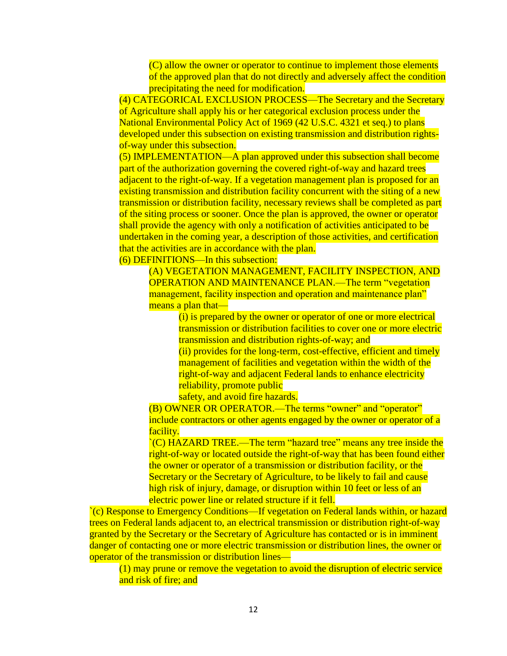(C) allow the owner or operator to continue to implement those elements of the approved plan that do not directly and adversely affect the condition precipitating the need for modification.

(4) CATEGORICAL EXCLUSION PROCESS—The Secretary and the Secretary of Agriculture shall apply his or her categorical exclusion process under the National Environmental Policy Act of 1969 (42 U.S.C. 4321 et seq.) to plans developed under this subsection on existing transmission and distribution rightsof-way under this subsection.

(5) IMPLEMENTATION—A plan approved under this subsection shall become part of the authorization governing the covered right-of-way and hazard trees adjacent to the right-of-way. If a vegetation management plan is proposed for an existing transmission and distribution facility concurrent with the siting of a new transmission or distribution facility, necessary reviews shall be completed as part of the siting process or sooner. Once the plan is approved, the owner or operator shall provide the agency with only a notification of activities anticipated to be undertaken in the coming year, a description of those activities, and certification that the activities are in accordance with the plan.

(6) DEFINITIONS—In this subsection:

(A) VEGETATION MANAGEMENT, FACILITY INSPECTION, AND OPERATION AND MAINTENANCE PLAN.—The term "vegetation management, facility inspection and operation and maintenance plan" means a plan that—

> (i) is prepared by the owner or operator of one or more electrical transmission or distribution facilities to cover one or more electric transmission and distribution rights-of-way; and (ii) provides for the long-term, cost-effective, efficient and timely

management of facilities and vegetation within the width of the right-of-way and adjacent Federal lands to enhance electricity reliability, promote public

safety, and avoid fire hazards.

(B) OWNER OR OPERATOR.—The terms "owner" and "operator" include contractors or other agents engaged by the owner or operator of a facility.

`(C) HAZARD TREE.—The term "hazard tree" means any tree inside the right-of-way or located outside the right-of-way that has been found either the owner or operator of a transmission or distribution facility, or the Secretary or the Secretary of Agriculture, to be likely to fail and cause high risk of injury, damage, or disruption within 10 feet or less of an electric power line or related structure if it fell.

`(c) Response to Emergency Conditions—If vegetation on Federal lands within, or hazard trees on Federal lands adjacent to, an electrical transmission or distribution right-of-way granted by the Secretary or the Secretary of Agriculture has contacted or is in imminent danger of contacting one or more electric transmission or distribution lines, the owner or operator of the transmission or distribution lines—

(1) may prune or remove the vegetation to avoid the disruption of electric service and risk of fire; and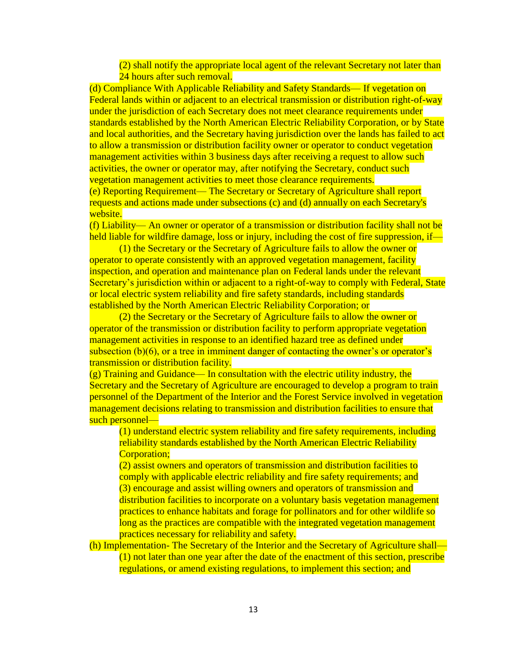(2) shall notify the appropriate local agent of the relevant Secretary not later than 24 hours after such removal.

(d) Compliance With Applicable Reliability and Safety Standards— If vegetation on Federal lands within or adjacent to an electrical transmission or distribution right-of-way under the jurisdiction of each Secretary does not meet clearance requirements under standards established by the North American Electric Reliability Corporation, or by State and local authorities, and the Secretary having jurisdiction over the lands has failed to act to allow a transmission or distribution facility owner or operator to conduct vegetation management activities within 3 business days after receiving a request to allow such activities, the owner or operator may, after notifying the Secretary, conduct such vegetation management activities to meet those clearance requirements.

(e) Reporting Requirement— The Secretary or Secretary of Agriculture shall report requests and actions made under subsections (c) and (d) annually on each Secretary's website.

(f) Liability— An owner or operator of a transmission or distribution facility shall not be held liable for wildfire damage, loss or injury, including the cost of fire suppression, if—

(1) the Secretary or the Secretary of Agriculture fails to allow the owner or operator to operate consistently with an approved vegetation management, facility inspection, and operation and maintenance plan on Federal lands under the relevant Secretary's jurisdiction within or adjacent to a right-of-way to comply with Federal, State or local electric system reliability and fire safety standards, including standards established by the North American Electric Reliability Corporation; or

(2) the Secretary or the Secretary of Agriculture fails to allow the owner or operator of the transmission or distribution facility to perform appropriate vegetation management activities in response to an identified hazard tree as defined under subsection (b)(6), or a tree in imminent danger of contacting the owner's or operator's transmission or distribution facility.

(g) Training and Guidance— In consultation with the electric utility industry, the Secretary and the Secretary of Agriculture are encouraged to develop a program to train personnel of the Department of the Interior and the Forest Service involved in vegetation management decisions relating to transmission and distribution facilities to ensure that such personnel—

(1) understand electric system reliability and fire safety requirements, including reliability standards established by the North American Electric Reliability Corporation;

(2) assist owners and operators of transmission and distribution facilities to comply with applicable electric reliability and fire safety requirements; and (3) encourage and assist willing owners and operators of transmission and distribution facilities to incorporate on a voluntary basis vegetation management practices to enhance habitats and forage for pollinators and for other wildlife so long as the practices are compatible with the integrated vegetation management practices necessary for reliability and safety.

(h) Implementation- The Secretary of the Interior and the Secretary of Agriculture shall— (1) not later than one year after the date of the enactment of this section, prescribe regulations, or amend existing regulations, to implement this section; and